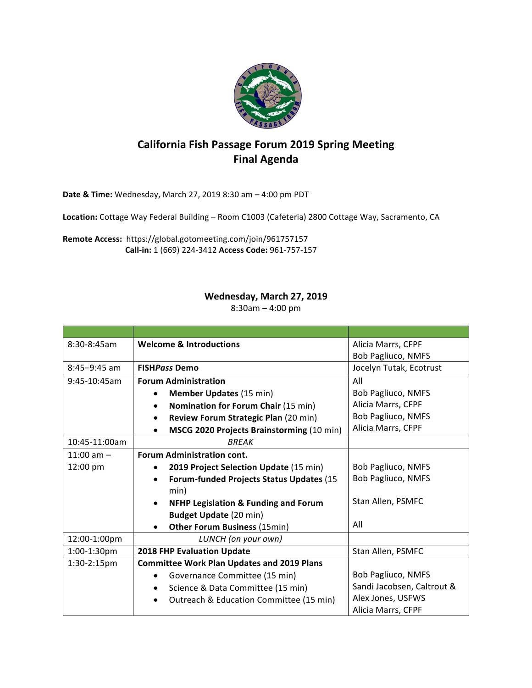

## **California Fish Passage Forum 2019 Spring Meeting Final Agenda**

**Date & Time:** Wednesday, March 27, 2019 8:30 am - 4:00 pm PDT

Location: Cottage Way Federal Building - Room C1003 (Cafeteria) 2800 Cottage Way, Sacramento, CA

Remote Access: https://global.gotomeeting.com/join/961757157 **Call-in:** 1 (669) 224-3412 **Access Code:** 961-757-157

## Wednesday, March 27, 2019

 $8:30$ am – 4:00 pm

| $8:30 - 8:45$ am | <b>Welcome &amp; Introductions</b>                           | Alicia Marrs, CFPF         |
|------------------|--------------------------------------------------------------|----------------------------|
|                  |                                                              | <b>Bob Pagliuco, NMFS</b>  |
| $8:45 - 9:45$ am | <b>FISHPass Demo</b>                                         | Jocelyn Tutak, Ecotrust    |
| 9:45-10:45am     | <b>Forum Administration</b>                                  | All                        |
|                  | <b>Member Updates (15 min)</b>                               | <b>Bob Pagliuco, NMFS</b>  |
|                  | Nomination for Forum Chair (15 min)<br>$\bullet$             | Alicia Marrs, CFPF         |
|                  | Review Forum Strategic Plan (20 min)<br>$\bullet$            | <b>Bob Pagliuco, NMFS</b>  |
|                  | MSCG 2020 Projects Brainstorming (10 min)<br>٠               | Alicia Marrs, CFPF         |
| 10:45-11:00am    | <b>BREAK</b>                                                 |                            |
| 11:00 am $-$     | <b>Forum Administration cont.</b>                            |                            |
| 12:00 pm         | 2019 Project Selection Update (15 min)<br>$\bullet$          | <b>Bob Pagliuco, NMFS</b>  |
|                  | <b>Forum-funded Projects Status Updates (15</b><br>$\bullet$ | <b>Bob Pagliuco, NMFS</b>  |
|                  | min)                                                         |                            |
|                  | <b>NFHP Legislation &amp; Funding and Forum</b><br>$\bullet$ | Stan Allen, PSMFC          |
|                  | <b>Budget Update (20 min)</b>                                |                            |
|                  | <b>Other Forum Business (15min)</b><br>$\bullet$             | All                        |
| 12:00-1:00pm     | LUNCH (on your own)                                          |                            |
| 1:00-1:30pm      | 2018 FHP Evaluation Update                                   | Stan Allen, PSMFC          |
| 1:30-2:15pm      | <b>Committee Work Plan Updates and 2019 Plans</b>            |                            |
|                  | Governance Committee (15 min)<br>$\bullet$                   | <b>Bob Pagliuco, NMFS</b>  |
|                  | Science & Data Committee (15 min)<br>٠                       | Sandi Jacobsen, Caltrout & |
|                  | Outreach & Education Committee (15 min)                      | Alex Jones, USFWS          |
|                  |                                                              | Alicia Marrs, CFPF         |